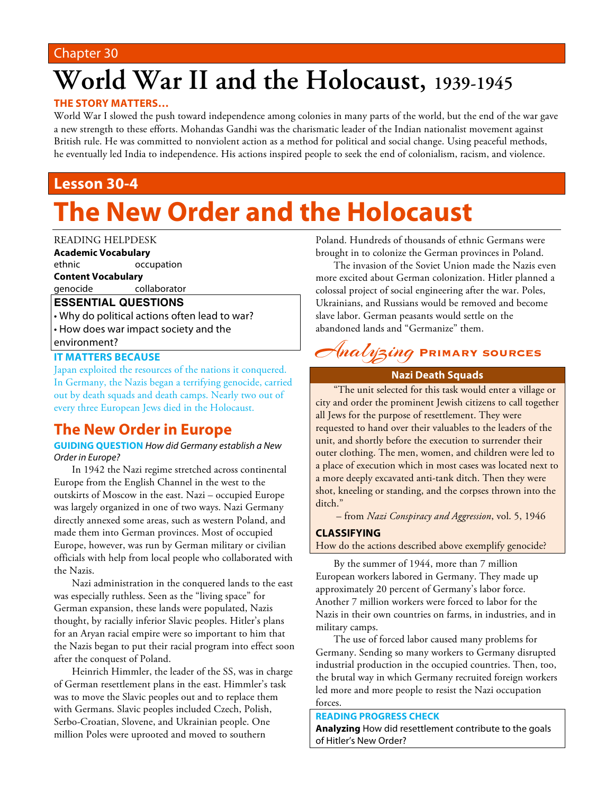### Chapter 30

# **World War II and the Holocaust, 1939-1945**

### **THE STORY MATTERS…**

World War I slowed the push toward independence among colonies in many parts of the world, but the end of the war gave a new strength to these efforts. Mohandas Gandhi was the charismatic leader of the Indian nationalist movement against British rule. He was committed to nonviolent action as a method for political and social change. Using peaceful methods, he eventually led India to independence. His actions inspired people to seek the end of colonialism, racism, and violence.

# **Lesson 30-4**

# **The New Order and the Holocaust**

#### READING HELPDESK

**Academic Vocabulary**

ethnic occupation

**Content Vocabulary**

genocide collaborator

### **ESSENTIAL QUESTIONS**

• Why do political actions often lead to war? • How does war impact society and the environment?

#### **IT MATTERS BECAUSE**

Japan exploited the resources of the nations it conquered. In Germany, the Nazis began a terrifying genocide, carried out by death squads and death camps. Nearly two out of every three European Jews died in the Holocaust.

# **The New Order in Europe**

#### **GUIDING QUESTION** *How did Germany establish a New Order in Europe?*

In 1942 the Nazi regime stretched across continental Europe from the English Channel in the west to the outskirts of Moscow in the east. Nazi – occupied Europe was largely organized in one of two ways. Nazi Germany directly annexed some areas, such as western Poland, and made them into German provinces. Most of occupied Europe, however, was run by German military or civilian officials with help from local people who collaborated with the Nazis.

Nazi administration in the conquered lands to the east was especially ruthless. Seen as the "living space" for German expansion, these lands were populated, Nazis thought, by racially inferior Slavic peoples. Hitler's plans for an Aryan racial empire were so important to him that the Nazis began to put their racial program into effect soon after the conquest of Poland.

Heinrich Himmler, the leader of the SS, was in charge of German resettlement plans in the east. Himmler's task was to move the Slavic peoples out and to replace them with Germans. Slavic peoples included Czech, Polish, Serbo-Croatian, Slovene, and Ukrainian people. One million Poles were uprooted and moved to southern

Poland. Hundreds of thousands of ethnic Germans were brought in to colonize the German provinces in Poland.

The invasion of the Soviet Union made the Nazis even more excited about German colonization. Hitler planned a colossal project of social engineering after the war. Poles, Ukrainians, and Russians would be removed and become slave labor. German peasants would settle on the abandoned lands and "Germanize" them.

# Analyzing **Primary sources**

#### **Nazi Death Squads**

"The unit selected for this task would enter a village or city and order the prominent Jewish citizens to call together all Jews for the purpose of resettlement. They were requested to hand over their valuables to the leaders of the unit, and shortly before the execution to surrender their outer clothing. The men, women, and children were led to a place of execution which in most cases was located next to a more deeply excavated anti-tank ditch. Then they were shot, kneeling or standing, and the corpses thrown into the ditch."

– from *Nazi Conspiracy and Aggression*, vol. 5, 1946

#### **CLASSIFYING**

How do the actions described above exemplify genocide?

By the summer of 1944, more than 7 million European workers labored in Germany. They made up approximately 20 percent of Germany's labor force. Another 7 million workers were forced to labor for the Nazis in their own countries on farms, in industries, and in military camps.

The use of forced labor caused many problems for Germany. Sending so many workers to Germany disrupted industrial production in the occupied countries. Then, too, the brutal way in which Germany recruited foreign workers led more and more people to resist the Nazi occupation forces.

#### **READING PROGRESS CHECK**

**Analyzing** How did resettlement contribute to the goals of Hitler's New Order?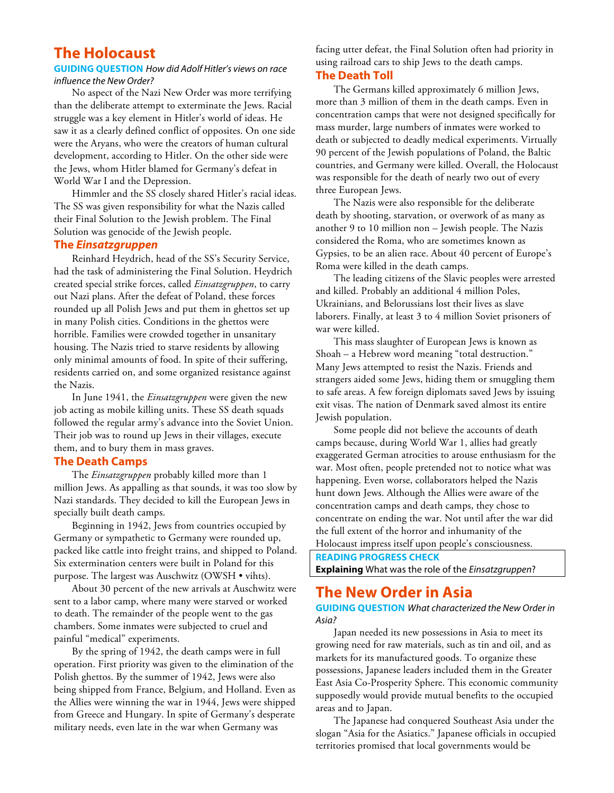## **The Holocaust**

#### **GUIDING QUESTION** *How did Adolf Hitler's views on race influence the New Order?*

No aspect of the Nazi New Order was more terrifying than the deliberate attempt to exterminate the Jews. Racial struggle was a key element in Hitler's world of ideas. He saw it as a clearly defined conflict of opposites. On one side were the Aryans, who were the creators of human cultural development, according to Hitler. On the other side were the Jews, whom Hitler blamed for Germany's defeat in World War I and the Depression.

Himmler and the SS closely shared Hitler's racial ideas. The SS was given responsibility for what the Nazis called their Final Solution to the Jewish problem. The Final Solution was genocide of the Jewish people.

#### **The** *Einsatzgruppen*

Reinhard Heydrich, head of the SS's Security Service, had the task of administering the Final Solution. Heydrich created special strike forces, called *Einsatzgruppen*, to carry out Nazi plans. After the defeat of Poland, these forces rounded up all Polish Jews and put them in ghettos set up in many Polish cities. Conditions in the ghettos were horrible. Families were crowded together in unsanitary housing. The Nazis tried to starve residents by allowing only minimal amounts of food. In spite of their suffering, residents carried on, and some organized resistance against the Nazis.

In June 1941, the *Einsatzgruppen* were given the new job acting as mobile killing units. These SS death squads followed the regular army's advance into the Soviet Union. Their job was to round up Jews in their villages, execute them, and to bury them in mass graves.

#### **The Death Camps**

The *Einsatzgruppen* probably killed more than 1 million Jews. As appalling as that sounds, it was too slow by Nazi standards. They decided to kill the European Jews in specially built death camps.

Beginning in 1942, Jews from countries occupied by Germany or sympathetic to Germany were rounded up, packed like cattle into freight trains, and shipped to Poland. Six extermination centers were built in Poland for this purpose. The largest was Auschwitz (OWSH • vihts).

About 30 percent of the new arrivals at Auschwitz were sent to a labor camp, where many were starved or worked to death. The remainder of the people went to the gas chambers. Some inmates were subjected to cruel and painful "medical" experiments.

By the spring of 1942, the death camps were in full operation. First priority was given to the elimination of the Polish ghettos. By the summer of 1942, Jews were also being shipped from France, Belgium, and Holland. Even as the Allies were winning the war in 1944, Jews were shipped from Greece and Hungary. In spite of Germany's desperate military needs, even late in the war when Germany was

facing utter defeat, the Final Solution often had priority in using railroad cars to ship Jews to the death camps. **The Death Toll**

The Germans killed approximately 6 million Jews, more than 3 million of them in the death camps. Even in concentration camps that were not designed specifically for mass murder, large numbers of inmates were worked to death or subjected to deadly medical experiments. Virtually 90 percent of the Jewish populations of Poland, the Baltic countries, and Germany were killed. Overall, the Holocaust was responsible for the death of nearly two out of every three European Jews.

The Nazis were also responsible for the deliberate death by shooting, starvation, or overwork of as many as another 9 to 10 million non – Jewish people. The Nazis considered the Roma, who are sometimes known as Gypsies, to be an alien race. About 40 percent of Europe's Roma were killed in the death camps.

The leading citizens of the Slavic peoples were arrested and killed. Probably an additional 4 million Poles, Ukrainians, and Belorussians lost their lives as slave laborers. Finally, at least 3 to 4 million Soviet prisoners of war were killed.

This mass slaughter of European Jews is known as Shoah – a Hebrew word meaning "total destruction." Many Jews attempted to resist the Nazis. Friends and strangers aided some Jews, hiding them or smuggling them to safe areas. A few foreign diplomats saved Jews by issuing exit visas. The nation of Denmark saved almost its entire Jewish population.

Some people did not believe the accounts of death camps because, during World War 1, allies had greatly exaggerated German atrocities to arouse enthusiasm for the war. Most often, people pretended not to notice what was happening. Even worse, collaborators helped the Nazis hunt down Jews. Although the Allies were aware of the concentration camps and death camps, they chose to concentrate on ending the war. Not until after the war did the full extent of the horror and inhumanity of the Holocaust impress itself upon people's consciousness.

**READING PROGRESS CHECK Explaining** What was the role of the *Einsatzgruppen*?

# **The New Order in Asia**

**GUIDING QUESTION** *What characterized the New Order in Asia?*

Japan needed its new possessions in Asia to meet its growing need for raw materials, such as tin and oil, and as markets for its manufactured goods. To organize these possessions, Japanese leaders included them in the Greater East Asia Co-Prosperity Sphere. This economic community supposedly would provide mutual benefits to the occupied areas and to Japan.

The Japanese had conquered Southeast Asia under the slogan "Asia for the Asiatics." Japanese officials in occupied territories promised that local governments would be